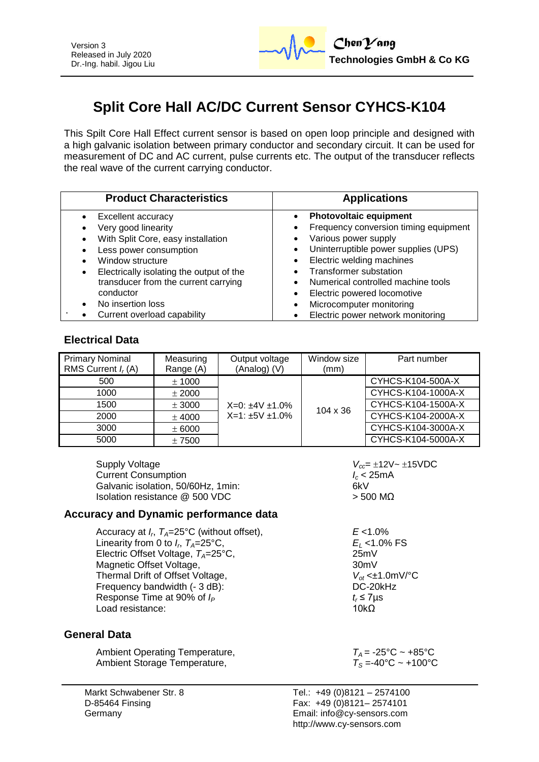

# **Split Core Hall AC/DC Current Sensor CYHCS-K104**

This Spilt Core Hall Effect current sensor is based on open loop principle and designed with a high galvanic isolation between primary conductor and secondary circuit. It can be used for measurement of DC and AC current, pulse currents etc. The output of the transducer reflects the real wave of the current carrying conductor.

| <b>Product Characteristics</b>                | <b>Applications</b>                               |
|-----------------------------------------------|---------------------------------------------------|
| Excellent accuracy                            | <b>Photovoltaic equipment</b>                     |
| Very good linearity                           | Frequency conversion timing equipment<br>٠        |
| With Split Core, easy installation            | Various power supply<br>٠                         |
| Less power consumption                        | Uninterruptible power supplies (UPS)<br>$\bullet$ |
| Window structure                              | Electric welding machines<br>$\bullet$            |
| Electrically isolating the output of the<br>٠ | <b>Transformer substation</b>                     |
| transducer from the current carrying          | Numerical controlled machine tools                |
| conductor                                     | Electric powered locomotive<br>٠                  |
| No insertion loss                             | Microcomputer monitoring<br>$\bullet$             |
| Current overload capability                   | Electric power network monitoring                 |

## **Electrical Data**

| <b>Primary Nominal</b><br>RMS Current $I_r(A)$ | Measuring<br>Range (A) | Output voltage<br>(Analog) (V) | Window size<br>(mm) | Part number        |
|------------------------------------------------|------------------------|--------------------------------|---------------------|--------------------|
| 500                                            | ± 1000                 |                                |                     | CYHCS-K104-500A-X  |
| 1000                                           | ± 2000                 | $X=0: \pm 4V \pm 1.0\%$        |                     | CYHCS-K104-1000A-X |
| 1500                                           | ± 3000                 |                                | $104 \times 36$     | CYHCS-K104-1500A-X |
| 2000                                           | $±$ 4000               | $X=1: \pm 5V \pm 1.0\%$        |                     | CYHCS-K104-2000A-X |
| 3000                                           | ± 6000                 |                                |                     | CYHCS-K104-3000A-X |
| 5000                                           | ±7500                  |                                |                     | CYHCS-K104-5000A-X |

Supply Voltage *Vcc*= 12V~ 15VDC Current Consumption *I<sub>c</sub>* **< 25mA**<br>Galvanic isolation 50/60Hz 1min: *Internal Calvanic isolation* Galvanic isolation, 50/60Hz, 1min: Isolation resistance  $@$  500 VDC  $>$  500 MΩ

### **Accuracy and Dynamic performance data**

Accuracy at *I<sup>r</sup>* , *TA*=25°C (without offset), *E* <1.0% Linearity from 0 to  $I_r$ ,  $T_A = 25^\circ \text{C}$ ,  $E_1$  <1.0% FS Electric Offset Voltage, *T<sub>A</sub>*=25°C, 25mV<br>Magnetic Offset Voltage. 25°C, 25mV Magnetic Offset Voltage, Thermal Drift of Offset Voltage,  $V_{ot} \leq \pm 1.0 \text{mV} / \text{°C}$ <br>Frequency bandwidth (- 3 dB): DC-20kHz Frequency bandwidth (- 3 dB): Response Time at 90% of  $I_P$  **t**<sub>r</sub> ≤ 7µs **c** and resistance: 10kΩ Load resistance:

## **General Data**

| Ambient Operating Temperature, | $T_A = -25$ °C ~ +85°C               |
|--------------------------------|--------------------------------------|
| Ambient Storage Temperature,   | $T_s = -40^{\circ}C - +100^{\circ}C$ |

Markt Schwabener Str. 8 D-85464 Finsing Germany